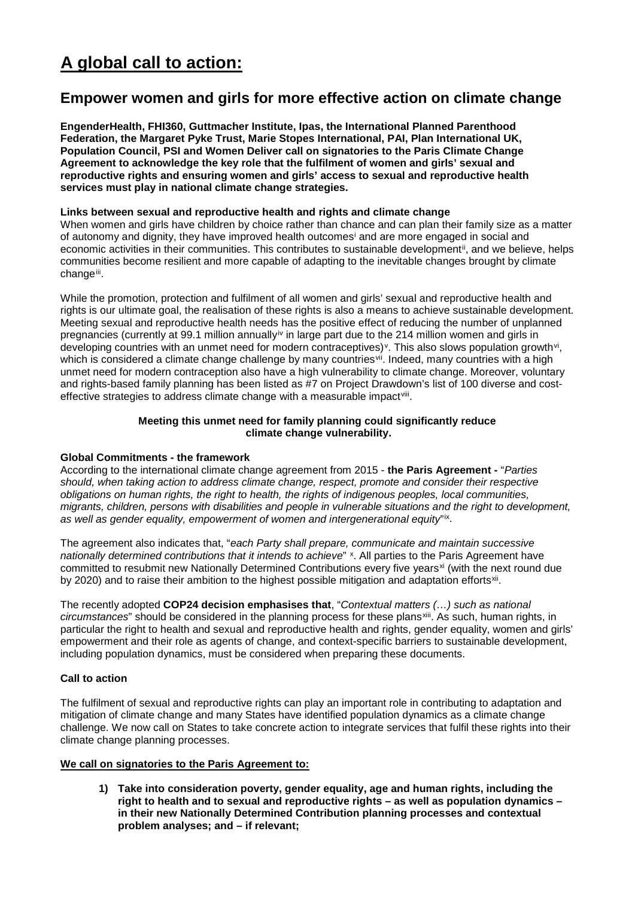# **A global call to action:**

## **Empower women and girls for more effective action on climate change**

**EngenderHealth, FHI360, Guttmacher Institute, Ipas, the International Planned Parenthood Federation, the Margaret Pyke Trust, Marie Stopes International, PAI, Plan International UK, Population Council, PSI and Women Deliver call on signatories to the Paris Climate Change Agreement to acknowledge the key role that the fulfilment of women and girls' sexual and reproductive rights and ensuring women and girls' access to sexual and reproductive health services must play in national climate change strategies.** 

### **Links between sexual and reproductive health and rights and climate change**

When women and girls have children by choice rather than chance and can plan their family size as a matter of autonomy and dignity, they have improved health outcomes[i](#page-1-0) and are more engaged in social and economic activities in their communities. This contributes to sustainable development<sup>ii</sup>, and we believe, helps communities become resilient and more capable of adapting to the inevitable changes brought by climate change[iii.](#page-1-2)

While the promotion, protection and fulfilment of all women and girls' sexual and reproductive health and rights is our ultimate goal, the realisation of these rights is also a means to achieve sustainable development. Meeting sexual and reproductive health needs has the positive effect of reducing the number of unplanned pregnancies (currently at 99.1 million annually[iv](#page-1-3) in large part due to the 214 million women and girls in developing countries with an unmet need for modern contraceptives)<sup>v</sup>. This also slows population growth<sup>[vi](#page-2-1)</sup>, which is considered a climate change challenge by many countries<sup>[vii](#page-2-2)</sup>. Indeed, many countries with a high unmet need for modern contraception also have a high vulnerability to climate change. Moreover, voluntary and rights-based family planning has been listed as #7 on Project Drawdown's list of 100 diverse and costeffective strategies to address climate change with a measurable impact<sup>[viii](#page-2-3)</sup>.

### **Meeting this unmet need for family planning could significantly reduce climate change vulnerability.**

### **Global Commitments - the framework**

According to the international climate change agreement from 2015 - **the Paris Agreement -** "*Parties should, when taking action to address climate change, respect, promote and consider their respective obligations on human rights, the right to health, the rights of indigenous peoples, local communities, migrants, children, persons with disabilities and people in vulnerable situations and the right to development, as well as gender equality, empowerment of women and intergenerational equity*"[ix.](#page-2-4)

The agreement also indicates that, "*each Party shall prepare, communicate and maintain successive nationally determined contributions that it intends to achieve*" <sup>x</sup>. All parties to the Paris Agreement have committed to resubmit new Nationally Determined Contributions every five years<sup>[xi](#page-2-6)</sup> (with the next round due by 2020) and to raise their ambition to the highest possible mitigation and adaptation efforts<sup>[xii](#page-2-7)</sup>.

The recently adopted **COP24 decision emphasises that**, "*Contextual matters (…) such as national circumstances*" should be considered in the planning process for these plans[xiii](#page-2-8). As such, human rights, in particular the right to health and sexual and reproductive health and rights, gender equality, women and girls' empowerment and their role as agents of change, and context-specific barriers to sustainable development, including population dynamics, must be considered when preparing these documents.

### **Call to action**

The fulfilment of sexual and reproductive rights can play an important role in contributing to adaptation and mitigation of climate change and many States have identified population dynamics as a climate change challenge. We now call on States to take concrete action to integrate services that fulfil these rights into their climate change planning processes.

### **We call on signatories to the Paris Agreement to:**

**1) Take into consideration poverty, gender equality, age and human rights, including the right to health and to sexual and reproductive rights – as well as population dynamics – in their new Nationally Determined Contribution planning processes and contextual problem analyses; and – if relevant;**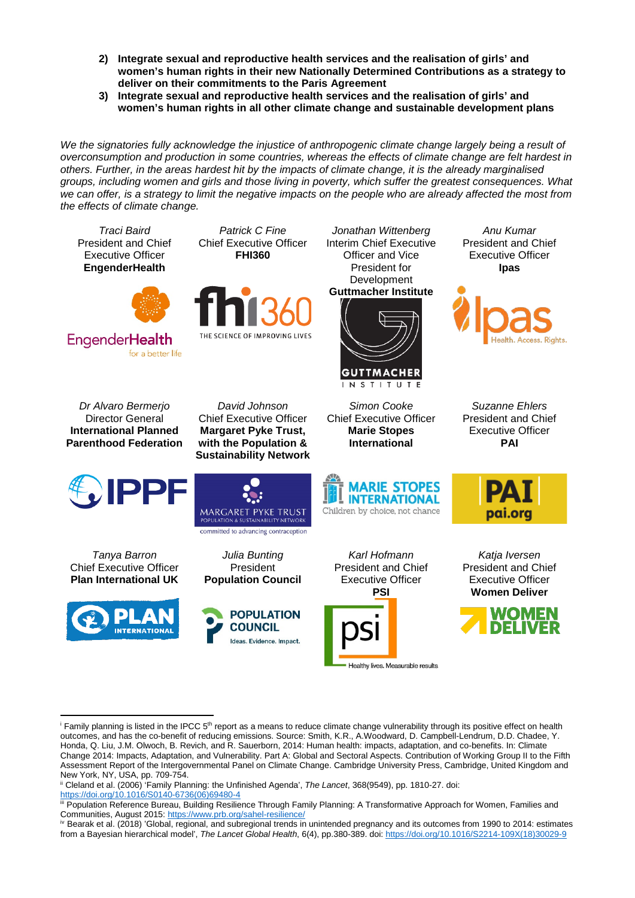- **2) Integrate sexual and reproductive health services and the realisation of girls' and women's human rights in their new Nationally Determined Contributions as a strategy to deliver on their commitments to the Paris Agreement**
- **3) Integrate sexual and reproductive health services and the realisation of girls' and women's human rights in all other climate change and sustainable development plans**

*We the signatories fully acknowledge the injustice of anthropogenic climate change largely being a result of overconsumption and production in some countries, whereas the effects of climate change are felt hardest in others. Further, in the areas hardest hit by the impacts of climate change, it is the already marginalised groups, including women and girls and those living in poverty, which suffer the greatest consequences. What we can offer, is a strategy to limit the negative impacts on the people who are already affected the most from the effects of climate change.*



<span id="page-1-0"></span> $\frac{1}{2}$  Family planning is listed in the IPCC  $5$ <sup>th</sup> report as a means to reduce climate change vulnerability through its positive effect on health outcomes, and has the co-benefit of reducing emissions. Source: Smith, K.R., A.Woodward, D. Campbell-Lendrum, D.D. Chadee, Y. Honda, Q. Liu, J.M. Olwoch, B. Revich, and R. Sauerborn, 2014: Human health: impacts, adaptation, and co-benefits. In: Climate Change 2014: Impacts, Adaptation, and Vulnerability. Part A: Global and Sectoral Aspects. Contribution of Working Group II to the Fifth Assessment Report of the Intergovernmental Panel on Climate Change. Cambridge University Press, Cambridge, United Kingdom and New York, NY, USA, pp. 709-754.

 $\overline{a}$ 

<span id="page-1-1"></span>ii Cleland et al. (2006) 'Family Planning: the Unfinished Agenda', *[The Lancet](https://protect-us.mimecast.com/s/d0flCERZQBHv5gEUNv9lE?domain=researchgate.net)*, 368(9549), pp. 1810-27. doi: [https://doi.org/10.1016/S0140-6736\(06\)69480-4](https://doi.org/10.1016/S0140-6736(06)69480-4)

<span id="page-1-2"></span>iii Population Reference Bureau, Building Resilience Through Family Planning: A Transformative Approach for Women, Families and Communities, August 2015:<https://www.prb.org/sahel-resilience/>

<span id="page-1-3"></span>iv Bearak et al. (2018) 'Global, regional, and subregional trends in unintended pregnancy and its outcomes from 1990 to 2014: estimates from a Bayesian hierarchical model', *The Lancet Global Health*, 6(4), pp.380-389. doi: [https://doi.org/10.1016/S2214-109X\(18\)30029-9](https://doi.org/10.1016/S2214-109X(18)30029-9)